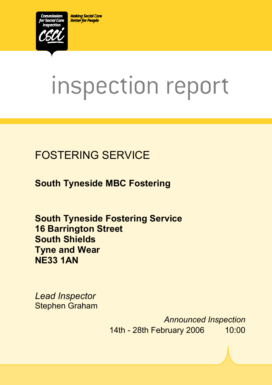**Making Social Care Better for People** 



# inspection report

# FOSTERING SERVICE

**South Tyneside MBC Fostering** 

**South Tyneside Fostering Service 16 Barrington Street South Shields Tyne and Wear NE33 1AN** 

*Lead Inspector*  Stephen Graham

> *Announced Inspection* 14th - 28th February 2006 10:00

 $X_1$ 10029.doc Version 1.40 Page 1.40 Page 1.40 Page 1.40 Page 1.40 Page 1.40 Page 1.40 Page 1.40 Page 1.40 Page 1.40 Page 1.40 Page 1.40 Page 1.40 Page 1.40 Page 1.40 Page 1.40 Page 1.40 Page 1.40 Page 1.40 Page 1.40 Pag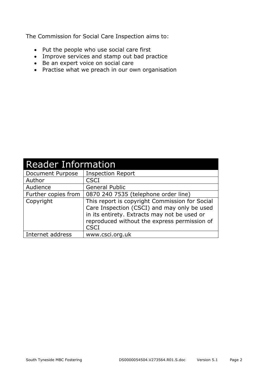The Commission for Social Care Inspection aims to:

- Put the people who use social care first
- Improve services and stamp out bad practice
- Be an expert voice on social care
- Practise what we preach in our own organisation

| <b>Reader Information</b> |                                                                                                                                                                                                              |  |
|---------------------------|--------------------------------------------------------------------------------------------------------------------------------------------------------------------------------------------------------------|--|
| Document Purpose          | <b>Inspection Report</b>                                                                                                                                                                                     |  |
| Author                    | <b>CSCI</b>                                                                                                                                                                                                  |  |
| Audience                  | <b>General Public</b>                                                                                                                                                                                        |  |
| Further copies from       | 0870 240 7535 (telephone order line)                                                                                                                                                                         |  |
| Copyright                 | This report is copyright Commission for Social<br>Care Inspection (CSCI) and may only be used<br>in its entirety. Extracts may not be used or<br>reproduced without the express permission of<br><b>CSCI</b> |  |
| Internet address          | www.csci.org.uk                                                                                                                                                                                              |  |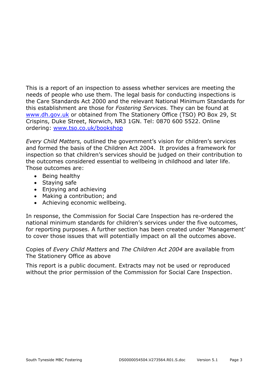This is a report of an inspection to assess whether services are meeting the needs of people who use them. The legal basis for conducting inspections is the Care Standards Act 2000 and the relevant National Minimum Standards for this establishment are those for *Fostering Services.* They can be found at www.dh.gov.uk or obtained from The Stationery Office (TSO) PO Box 29, St Crispins, Duke Street, Norwich, NR3 1GN. Tel: 0870 600 5522. Online ordering: www.tso.co.uk/bookshop

*Every Child Matters,* outlined the government's vision for children's services and formed the basis of the Children Act 2004. It provides a framework for inspection so that children's services should be judged on their contribution to the outcomes considered essential to wellbeing in childhood and later life. Those outcomes are:

- Being healthy
- Staying safe
- Enjoying and achieving
- Making a contribution; and
- Achieving economic wellbeing.

In response, the Commission for Social Care Inspection has re-ordered the national minimum standards for children's services under the five outcomes, for reporting purposes. A further section has been created under 'Management' to cover those issues that will potentially impact on all the outcomes above.

Copies of *Every Child Matters* and *The Children Act 2004* are available from The Stationery Office as above

This report is a public document. Extracts may not be used or reproduced without the prior permission of the Commission for Social Care Inspection.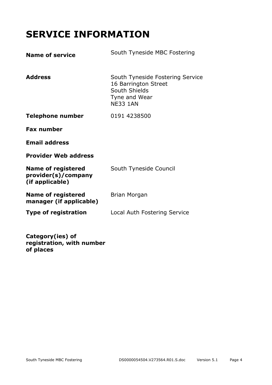# **SERVICE INFORMATION**

| <b>Name of service</b>                                              | South Tyneside MBC Fostering                                                                                  |
|---------------------------------------------------------------------|---------------------------------------------------------------------------------------------------------------|
| <b>Address</b>                                                      | South Tyneside Fostering Service<br>16 Barrington Street<br>South Shields<br>Tyne and Wear<br><b>NE33 1AN</b> |
| <b>Telephone number</b>                                             | 0191 4238500                                                                                                  |
| <b>Fax number</b>                                                   |                                                                                                               |
| <b>Email address</b>                                                |                                                                                                               |
| <b>Provider Web address</b>                                         |                                                                                                               |
| <b>Name of registered</b><br>provider(s)/company<br>(if applicable) | South Tyneside Council                                                                                        |
| <b>Name of registered</b><br>manager (if applicable)                | Brian Morgan                                                                                                  |
| <b>Type of registration</b>                                         | Local Auth Fostering Service                                                                                  |
|                                                                     |                                                                                                               |

**Category(ies) of registration, with number of places**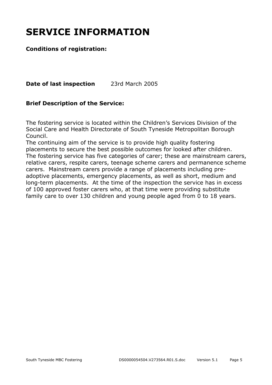# **SERVICE INFORMATION**

#### **Conditions of registration:**

**Date of last inspection** 23rd March 2005

#### **Brief Description of the Service:**

The fostering service is located within the Children's Services Division of the Social Care and Health Directorate of South Tyneside Metropolitan Borough Council.

The continuing aim of the service is to provide high quality fostering placements to secure the best possible outcomes for looked after children. The fostering service has five categories of carer; these are mainstream carers, relative carers, respite carers, teenage scheme carers and permanence scheme carers. Mainstream carers provide a range of placements including preadoptive placements, emergency placements, as well as short, medium and long-term placements. At the time of the inspection the service has in excess of 100 approved foster carers who, at that time were providing substitute family care to over 130 children and young people aged from 0 to 18 years.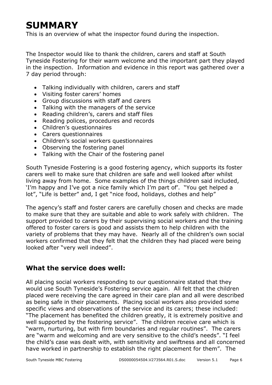# **SUMMARY**

This is an overview of what the inspector found during the inspection.

The Inspector would like to thank the children, carers and staff at South Tyneside Fostering for their warm welcome and the important part they played in the inspection. Information and evidence in this report was gathered over a 7 day period through:

- Talking individually with children, carers and staff
- Visiting foster carers' homes
- Group discussions with staff and carers
- Talking with the managers of the service
- Reading children's, carers and staff files
- Reading polices, procedures and records
- Children's questionnaires
- Carers questionnaires
- Children's social workers questionnaires
- Observing the fostering panel
- Talking with the Chair of the fostering panel

South Tyneside Fostering is a good fostering agency, which supports its foster carers well to make sure that children are safe and well looked after whilst living away from home. Some examples of the things children said included, 'I'm happy and I've got a nice family which I'm part of'. "You get helped a lot", "Life is better" and, I get "nice food, holidays, clothes and help"

The agency's staff and foster carers are carefully chosen and checks are made to make sure that they are suitable and able to work safely with children. The support provided to carers by their supervising social workers and the training offered to foster carers is good and assists them to help children with the variety of problems that they may have. Nearly all of the children's own social workers confirmed that they felt that the children they had placed were being looked after "very well indeed".

#### **What the service does well:**

All placing social workers responding to our questionnaire stated that they would use South Tyneside's Fostering service again. All felt that the children placed were receiving the care agreed in their care plan and all were described as being safe in their placements. Placing social workers also provided some specific views and observations of the service and its carers; these included: "The placement has benefited the children greatly, it is extremely positive and well supported by the fostering service". The children receive care which is "warm, nurturing, but with firm boundaries and regular routines". The carers are "warm and welcoming and are very sensitive to the child's needs". "I feel the child's case was dealt with, with sensitivity and swiftness and all concerned have worked in partnership to establish the right placement for them". The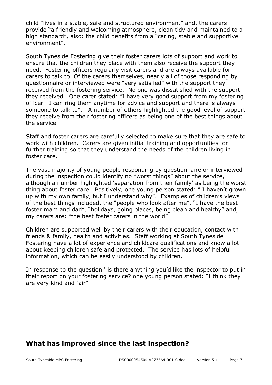child "lives in a stable, safe and structured environment" and, the carers provide "a friendly and welcoming atmosphere, clean tidy and maintained to a high standard", also: the child benefits from a "caring, stable and supportive environment".

South Tyneside Fostering give their foster carers lots of support and work to ensure that the children they place with them also receive the support they need. Fostering officers regularly visit carers and are always available for carers to talk to. Of the carers themselves, nearly all of those responding by questionnaire or interviewed were "very satisfied" with the support they received from the fostering service. No one was dissatisfied with the support they received. One carer stated: "I have very good support from my fostering officer. I can ring them anytime for advice and support and there is always someone to talk to". A number of others highlighted the good level of support they receive from their fostering officers as being one of the best things about the service.

Staff and foster carers are carefully selected to make sure that they are safe to work with children. Carers are given initial training and opportunities for further training so that they understand the needs of the children living in foster care.

The vast majority of young people responding by questionnaire or interviewed during the inspection could identify no "worst things" about the service, although a number highlighted 'separation from their family' as being the worst thing about foster care. Positively, one young person stated: " I haven't grown up with my own family, but I understand why". Examples of children's views of the best things included, the "people who look after me", "I have the best foster mam and dad", "holidays, going places, being clean and healthy" and, my carers are: "the best foster carers in the world"

Children are supported well by their carers with their education, contact with friends & family, health and activities. Staff working at South Tyneside Fostering have a lot of experience and childcare qualifications and know a lot about keeping children safe and protected. The service has lots of helpful information, which can be easily understood by children.

In response to the question ' is there anything you'd like the inspector to put in their report on your fostering service? one young person stated: "I think they are very kind and fair"

### **What has improved since the last inspection?**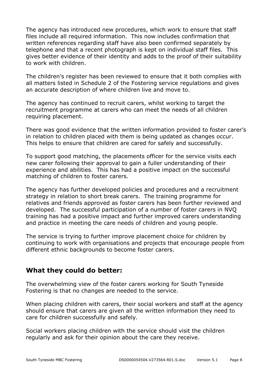The agency has introduced new procedures, which work to ensure that staff files include all required information. This now includes confirmation that written references regarding staff have also been confirmed separately by telephone and that a recent photograph is kept on individual staff files. This gives better evidence of their identity and adds to the proof of their suitability to work with children.

The children's register has been reviewed to ensure that it both complies with all matters listed in Schedule 2 of the Fostering service regulations and gives an accurate description of where children live and move to.

The agency has continued to recruit carers, whilst working to target the recruitment programme at carers who can meet the needs of all children requiring placement.

There was good evidence that the written information provided to foster carer's in relation to children placed with them is being updated as changes occur. This helps to ensure that children are cared for safely and successfully.

To support good matching, the placements officer for the service visits each new carer following their approval to gain a fuller understanding of their experience and abilities. This has had a positive impact on the successful matching of children to foster carers.

The agency has further developed policies and procedures and a recruitment strategy in relation to short break carers. The training programme for relatives and friends approved as foster carers has been further reviewed and developed. The successful participation of a number of foster carers in NVQ training has had a positive impact and further improved carers understanding and practice in meeting the care needs of children and young people.

The service is trying to further improve placement choice for children by continuing to work with organisations and projects that encourage people from different ethnic backgrounds to become foster carers.

#### **What they could do better:**

The overwhelming view of the foster carers working for South Tyneside Fostering is that no changes are needed to the service.

When placing children with carers, their social workers and staff at the agency should ensure that carers are given all the written information they need to care for children successfully and safely.

Social workers placing children with the service should visit the children regularly and ask for their opinion about the care they receive.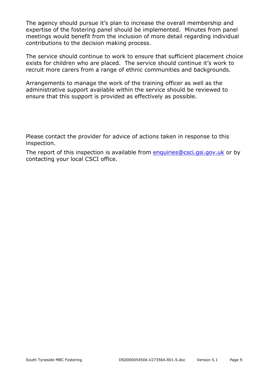The agency should pursue it's plan to increase the overall membership and expertise of the fostering panel should be implemented. Minutes from panel meetings would benefit from the inclusion of more detail regarding individual contributions to the decision making process.

The service should continue to work to ensure that sufficient placement choice exists for children who are placed. The service should continue it's work to recruit more carers from a range of ethnic communities and backgrounds.

Arrangements to manage the work of the training officer as well as the administrative support available within the service should be reviewed to ensure that this support is provided as effectively as possible.

Please contact the provider for advice of actions taken in response to this inspection.

The report of this inspection is available from enquiries@csci.gsi.gov.uk or by contacting your local CSCI office.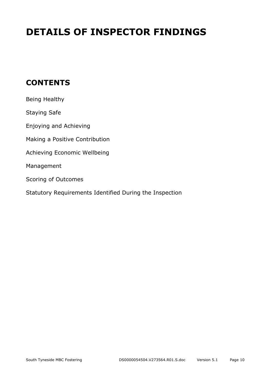# **DETAILS OF INSPECTOR FINDINGS**

## **CONTENTS**

| Being Healthy                                           |
|---------------------------------------------------------|
| <b>Staying Safe</b>                                     |
| Enjoying and Achieving                                  |
| Making a Positive Contribution                          |
| Achieving Economic Wellbeing                            |
| Management                                              |
| Scoring of Outcomes                                     |
| Statutory Requirements Identified During the Inspection |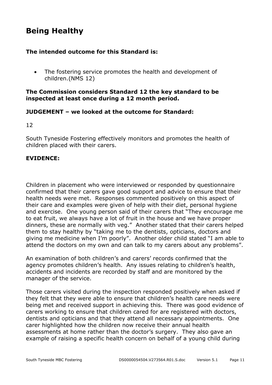## **Being Healthy**

#### **The intended outcome for this Standard is:**

• The fostering service promotes the health and development of children.(NMS 12)

#### **The Commission considers Standard 12 the key standard to be inspected at least once during a 12 month period.**

#### **JUDGEMENT – we looked at the outcome for Standard:**

12

South Tyneside Fostering effectively monitors and promotes the health of children placed with their carers.

#### **EVIDENCE:**

Children in placement who were interviewed or responded by questionnaire confirmed that their carers gave good support and advice to ensure that their health needs were met. Responses commented positively on this aspect of their care and examples were given of help with their diet, personal hygiene and exercise. One young person said of their carers that "They encourage me to eat fruit, we always have a lot of fruit in the house and we have proper dinners, these are normally with veg." Another stated that their carers helped them to stay healthy by "taking me to the dentists, opticians, doctors and giving me medicine when I'm poorly". Another older child stated "I am able to attend the doctors on my own and can talk to my carers about any problems".

An examination of both children's and carers' records confirmed that the agency promotes children's health. Any issues relating to children's health, accidents and incidents are recorded by staff and are monitored by the manager of the service.

Those carers visited during the inspection responded positively when asked if they felt that they were able to ensure that children's health care needs were being met and received support in achieving this. There was good evidence of carers working to ensure that children cared for are registered with doctors, dentists and opticians and that they attend all necessary appointments. One carer highlighted how the children now receive their annual health assessments at home rather than the doctor's surgery. They also gave an example of raising a specific health concern on behalf of a young child during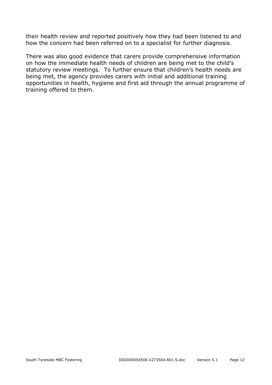their health review and reported positively how they had been listened to and how the concern had been referred on to a specialist for further diagnosis.

There was also good evidence that carers provide comprehensive information on how the immediate health needs of children are being met to the child's statutory review meetings. To further ensure that children's health needs are being met, the agency provides carers with initial and additional training opportunities in health, hygiene and first aid through the annual programme of training offered to them.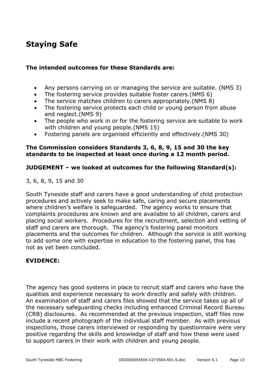## **Staying Safe**

#### **The intended outcomes for these Standards are:**

- Any persons carrying on or managing the service are suitable. (NMS 3)
- The fostering service provides suitable foster carers.(NMS 6)
- The service matches children to carers appropriately.(NMS 8)
- The fostering service protects each child or young person from abuse and neglect.(NMS 9)
- The people who work in or for the fostering service are suitable to work with children and young people.(NMS 15)
- Fostering panels are organised efficiently and effectively.(NMS 30)

#### **The Commission considers Standards 3, 6, 8, 9, 15 and 30 the key standards to be inspected at least once during a 12 month period.**

#### **JUDGEMENT – we looked at outcomes for the following Standard(s):**

3, 6, 8, 9, 15 and 30

South Tyneside staff and carers have a good understanding of child protection procedures and actively seek to make safe, caring and secure placements where children's welfare is safeguarded. The agency works to ensure that complaints procedures are known and are available to all children, carers and placing social workers. Procedures for the recruitment, selection and vetting of staff and carers are thorough. The agency's fostering panel monitors placements and the outcomes for children. Although the service is still working to add some one with expertise in education to the fostering panel, this has not as yet been concluded.

#### **EVIDENCE:**

The agency has good systems in place to recruit staff and carers who have the qualities and experience necessary to work directly and safely with children. An examination of staff and carers files showed that the service takes up all of the necessary safeguarding checks including enhanced Criminal Record Bureau (CRB) disclosures. As recommended at the previous inspection, staff files now include a recent photograph of the individual staff member. As with previous inspections, those carers interviewed or responding by questionnaire were very positive regarding the skills and knowledge of staff and how these were used to support carers in their work with children and young people.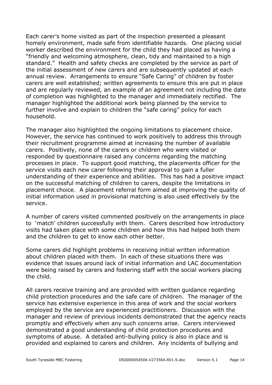Each carer's home visited as part of the inspection presented a pleasant homely environment, made safe from identifiable hazards. One placing social worker described the environment for the child they had placed as having a "friendly and welcoming atmosphere, clean, tidy and maintained to a high standard." Health and safety checks are completed by the service as part of the initial assessment of new carers and are subsequently updated at each annual review. Arrangements to ensure "Safe Caring" of children by foster carers are well established; written agreements to ensure this are put in place and are regularly reviewed, an example of an agreement not including the date of completion was highlighted to the manager and immediately rectified. The manager highlighted the additional work being planned by the service to further involve and explain to children the "safe caring" policy for each household.

The manager also highlighted the ongoing limitations to placement choice. However, the service has continued to work positively to address this through their recruitment programme aimed at increasing the number of available carers. Positively, none of the carers or children who were visited or responded by questionnaire raised any concerns regarding the matching processes in place. To support good matching, the placements officer for the service visits each new carer following their approval to gain a fuller understanding of their experience and abilities. This has had a positive impact on the successful matching of children to carers, despite the limitations in placement choice. A placement referral form aimed at improving the quality of initial information used in provisional matching is also used effectively by the service.

A number of carers visited commented positively on the arrangements in place to 'match' children successfully with them. Carers described how introductory visits had taken place with some children and how this had helped both them and the children to get to know each other better.

Some carers did highlight problems in receiving initial written information about children placed with them. In each of these situations there was evidence that issues around lack of initial information and LAC documentation were being raised by carers and fostering staff with the social workers placing the child.

All carers receive training and are provided with written guidance regarding child protection procedures and the safe care of children. The manager of the service has extensive experience in this area of work and the social workers employed by the service are experienced practitioners. Discussion with the manager and review of previous incidents demonstrated that the agency reacts promptly and effectively when any such concerns arise. Carers interviewed demonstrated a good understanding of child protection procedures and symptoms of abuse. A detailed anti-bullying policy is also in place and is provided and explained to carers and children. Any incidents of bullying and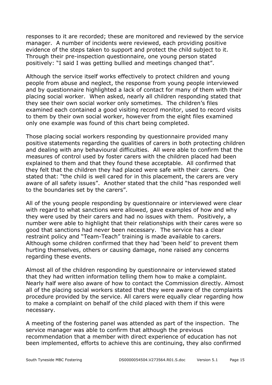responses to it are recorded; these are monitored and reviewed by the service manager. A number of incidents were reviewed, each providing positive evidence of the steps taken to support and protect the child subject to it. Through their pre-inspection questionnaire, one young person stated positively: "I said I was getting bullied and meetings changed that".

Although the service itself works effectively to protect children and young people from abuse and neglect, the response from young people interviewed and by questionnaire highlighted a lack of contact for many of them with their placing social worker. When asked, nearly all children responding stated that they see their own social worker only sometimes. The children's files examined each contained a good visiting record monitor, used to record visits to them by their own social worker, however from the eight files examined only one example was found of this chart being completed.

Those placing social workers responding by questionnaire provided many positive statements regarding the qualities of carers in both protecting children and dealing with any behavioural difficulties. All were able to confirm that the measures of control used by foster carers with the children placed had been explained to them and that they found these acceptable. All confirmed that they felt that the children they had placed were safe with their carers. One stated that: "the child is well cared for in this placement, the carers are very aware of all safety issues". Another stated that the child "has responded well to the boundaries set by the carers".

All of the young people responding by questionnaire or interviewed were clear with regard to what sanctions were allowed, gave examples of how and why they were used by their carers and had no issues with them. Positively, a number were able to highlight that their relationships with their cares were so good that sanctions had never been necessary. The service has a clear restraint policy and "Team-Teach" training is made available to carers. Although some children confirmed that they had 'been held' to prevent them hurting themselves, others or causing damage, none raised any concerns regarding these events.

Almost all of the children responding by questionnaire or interviewed stated that they had written information telling them how to make a complaint. Nearly half were also aware of how to contact the Commission directly. Almost all of the placing social workers stated that they were aware of the complaints procedure provided by the service. All carers were equally clear regarding how to make a complaint on behalf of the child placed with them if this were necessary.

A meeting of the fostering panel was attended as part of the inspection. The service manager was able to confirm that although the previous recommendation that a member with direct experience of education has not been implemented, efforts to achieve this are continuing, they also confirmed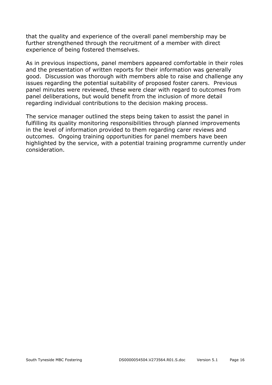that the quality and experience of the overall panel membership may be further strengthened through the recruitment of a member with direct experience of being fostered themselves.

As in previous inspections, panel members appeared comfortable in their roles and the presentation of written reports for their information was generally good. Discussion was thorough with members able to raise and challenge any issues regarding the potential suitability of proposed foster carers. Previous panel minutes were reviewed, these were clear with regard to outcomes from panel deliberations, but would benefit from the inclusion of more detail regarding individual contributions to the decision making process.

The service manager outlined the steps being taken to assist the panel in fulfilling its quality monitoring responsibilities through planned improvements in the level of information provided to them regarding carer reviews and outcomes. Ongoing training opportunities for panel members have been highlighted by the service, with a potential training programme currently under consideration.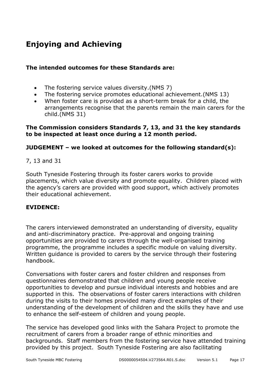# **Enjoying and Achieving**

#### **The intended outcomes for these Standards are:**

- The fostering service values diversity.(NMS 7)
- The fostering service promotes educational achievement.(NMS 13)
- When foster care is provided as a short-term break for a child, the arrangements recognise that the parents remain the main carers for the child.(NMS 31)

#### **The Commission considers Standards 7, 13, and 31 the key standards to be inspected at least once during a 12 month period.**

#### **JUDGEMENT – we looked at outcomes for the following standard(s):**

#### 7, 13 and 31

South Tyneside Fostering through its foster carers works to provide placements, which value diversity and promote equality. Children placed with the agency's carers are provided with good support, which actively promotes their educational achievement.

#### **EVIDENCE:**

The carers interviewed demonstrated an understanding of diversity, equality and anti-discriminatory practice. Pre-approval and ongoing training opportunities are provided to carers through the well-organised training programme, the programme includes a specific module on valuing diversity. Written guidance is provided to carers by the service through their fostering handbook.

Conversations with foster carers and foster children and responses from questionnaires demonstrated that children and young people receive opportunities to develop and pursue individual interests and hobbies and are supported in this. The observations of foster carers interactions with children during the visits to their homes provided many direct examples of their understanding of the development of children and the skills they have and use to enhance the self-esteem of children and young people.

The service has developed good links with the Sahara Project to promote the recruitment of carers from a broader range of ethnic minorities and backgrounds. Staff members from the fostering service have attended training provided by this project. South Tyneside Fostering are also facilitating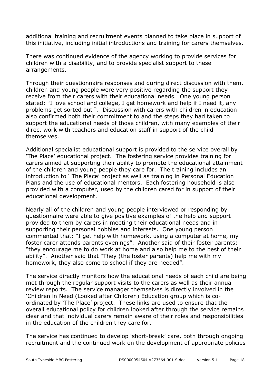additional training and recruitment events planned to take place in support of this initiative, including initial introductions and training for carers themselves.

There was continued evidence of the agency working to provide services for children with a disability, and to provide specialist support to these arrangements.

Through their questionnaire responses and during direct discussion with them, children and young people were very positive regarding the support they receive from their carers with their educational needs. One young person stated: "I love school and college, I get homework and help if I need it, any problems get sorted out ". Discussion with carers with children in education also confirmed both their commitment to and the steps they had taken to support the educational needs of those children, with many examples of their direct work with teachers and education staff in support of the child themselves.

Additional specialist educational support is provided to the service overall by 'The Place' educational project. The fostering service provides training for carers aimed at supporting their ability to promote the educational attainment of the children and young people they care for. The training includes an introduction to ' The Place' project as well as training in Personal Education Plans and the use of educational mentors. Each fostering household is also provided with a computer, used by the children cared for in support of their educational development.

Nearly all of the children and young people interviewed or responding by questionnaire were able to give positive examples of the help and support provided to them by carers in meeting their educational needs and in supporting their personal hobbies and interests. One young person commented that: "I get help with homework, using a computer at home, my foster carer attends parents evenings". Another said of their foster parents: "they encourage me to do work at home and also help me to the best of their ability". Another said that "They (the foster parents) help me with my homework, they also come to school if they are needed".

The service directly monitors how the educational needs of each child are being met through the regular support visits to the carers as well as their annual review reports. The service manager themselves is directly involved in the 'Children in Need (Looked after Children) Education group which is coordinated by 'The Place' project. These links are used to ensure that the overall educational policy for children looked after through the service remains clear and that individual carers remain aware of their roles and responsibilities in the education of the children they care for.

The service has continued to develop 'short-break' care, both through ongoing recruitment and the continued work on the development of appropriate policies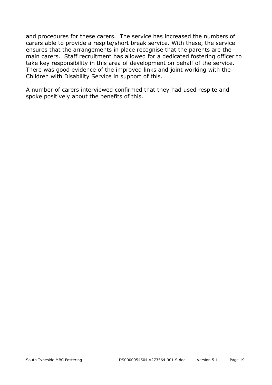and procedures for these carers. The service has increased the numbers of carers able to provide a respite/short break service. With these, the service ensures that the arrangements in place recognise that the parents are the main carers. Staff recruitment has allowed for a dedicated fostering officer to take key responsibility in this area of development on behalf of the service. There was good evidence of the improved links and joint working with the Children with Disability Service in support of this.

A number of carers interviewed confirmed that they had used respite and spoke positively about the benefits of this.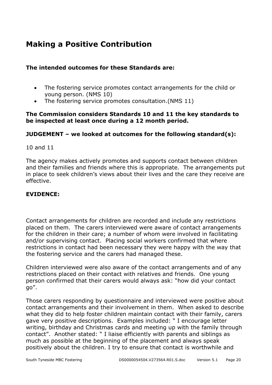## **Making a Positive Contribution**

#### **The intended outcomes for these Standards are:**

- The fostering service promotes contact arrangements for the child or young person. (NMS 10)
- The fostering service promotes consultation.(NMS 11)

#### **The Commission considers Standards 10 and 11 the key standards to be inspected at least once during a 12 month period.**

#### **JUDGEMENT – we looked at outcomes for the following standard(s):**

#### 10 and 11

The agency makes actively promotes and supports contact between children and their families and friends where this is appropriate. The arrangements put in place to seek children's views about their lives and the care they receive are effective.

#### **EVIDENCE:**

Contact arrangements for children are recorded and include any restrictions placed on them. The carers interviewed were aware of contact arrangements for the children in their care; a number of whom were involved in facilitating and/or supervising contact. Placing social workers confirmed that where restrictions in contact had been necessary they were happy with the way that the fostering service and the carers had managed these.

Children interviewed were also aware of the contact arrangements and of any restrictions placed on their contact with relatives and friends. One young person confirmed that their carers would always ask: "how did your contact go".

Those carers responding by questionnaire and interviewed were positive about contact arrangements and their involvement in them. When asked to describe what they did to help foster children maintain contact with their family, carers gave very positive descriptions. Examples included: " I encourage letter writing, birthday and Christmas cards and meeting up with the family through contact". Another stated: " I liaise efficiently with parents and siblings as much as possible at the beginning of the placement and always speak positively about the children. I try to ensure that contact is worthwhile and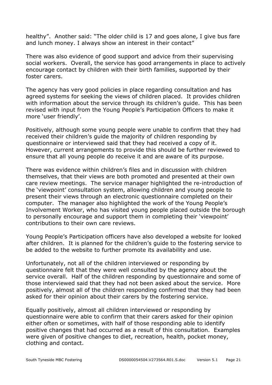healthy". Another said: "The older child is 17 and goes alone, I give bus fare and lunch money. I always show an interest in their contact"

There was also evidence of good support and advice from their supervising social workers. Overall, the service has good arrangements in place to actively encourage contact by children with their birth families, supported by their foster carers.

The agency has very good policies in place regarding consultation and has agreed systems for seeking the views of children placed. It provides children with information about the service through its children's guide. This has been revised with input from the Young People's Participation Officers to make it more 'user friendly'.

Positively, although some young people were unable to confirm that they had received their children's guide the majority of children responding by questionnaire or interviewed said that they had received a copy of it. However, current arrangements to provide this should be further reviewed to ensure that all young people do receive it and are aware of its purpose.

There was evidence within children's files and in discussion with children themselves, that their views are both promoted and presented at their own care review meetings. The service manager highlighted the re-introduction of the 'viewpoint' consultation system, allowing children and young people to present their views through an electronic questionnaire completed on their computer. The manager also highlighted the work of the Young People's Involvement Worker, who has visited young people placed outside the borough to personally encourage and support them in completing their 'viewpoint' contributions to their own care reviews.

Young People's Participation officers have also developed a website for looked after children. It is planned for the children's guide to the fostering service to be added to the website to further promote its availability and use.

Unfortunately, not all of the children interviewed or responding by questionnaire felt that they were well consulted by the agency about the service overall. Half of the children responding by questionnaire and some of those interviewed said that they had not been asked about the service. More positively, almost all of the children responding confirmed that they had been asked for their opinion about their carers by the fostering service.

Equally positively, almost all children interviewed or responding by questionnaire were able to confirm that their carers asked for their opinion either often or sometimes, with half of those responding able to identify positive changes that had occurred as a result of this consultation. Examples were given of positive changes to diet, recreation, health, pocket money, clothing and contact.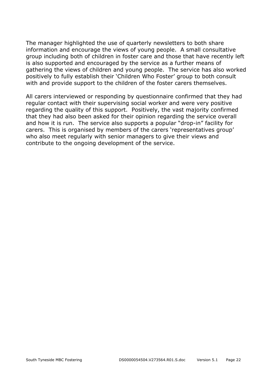The manager highlighted the use of quarterly newsletters to both share information and encourage the views of young people. A small consultative group including both of children in foster care and those that have recently left is also supported and encouraged by the service as a further means of gathering the views of children and young people. The service has also worked positively to fully establish their 'Children Who Foster' group to both consult with and provide support to the children of the foster carers themselves.

All carers interviewed or responding by questionnaire confirmed that they had regular contact with their supervising social worker and were very positive regarding the quality of this support. Positively, the vast majority confirmed that they had also been asked for their opinion regarding the service overall and how it is run. The service also supports a popular "drop-in" facility for carers. This is organised by members of the carers 'representatives group' who also meet regularly with senior managers to give their views and contribute to the ongoing development of the service.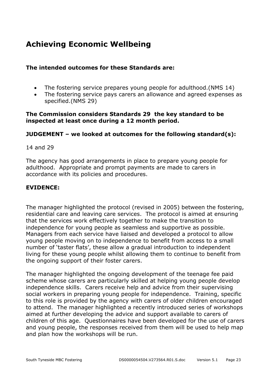## **Achieving Economic Wellbeing**

#### **The intended outcomes for these Standards are:**

- The fostering service prepares young people for adulthood.(NMS 14)
- The fostering service pays carers an allowance and agreed expenses as specified.(NMS 29)

#### **The Commission considers Standards 29 the key standard to be inspected at least once during a 12 month period.**

#### **JUDGEMENT – we looked at outcomes for the following standard(s):**

#### 14 and 29

The agency has good arrangements in place to prepare young people for adulthood. Appropriate and prompt payments are made to carers in accordance with its policies and procedures.

#### **EVIDENCE:**

The manager highlighted the protocol (revised in 2005) between the fostering, residential care and leaving care services. The protocol is aimed at ensuring that the services work effectively together to make the transition to independence for young people as seamless and supportive as possible. Managers from each service have liaised and developed a protocol to allow young people moving on to independence to benefit from access to a small number of 'taster flats', these allow a gradual introduction to independent living for these young people whilst allowing them to continue to benefit from the ongoing support of their foster carers.

The manager highlighted the ongoing development of the teenage fee paid scheme whose carers are particularly skilled at helping young people develop independence skills. Carers receive help and advice from their supervising social workers in preparing young people for independence. Training, specific to this role is provided by the agency with carers of older children encouraged to attend. The manager highlighted a recently introduced series of workshops aimed at further developing the advice and support available to carers of children of this age. Questionnaires have been developed for the use of carers and young people, the responses received from them will be used to help map and plan how the workshops will be run.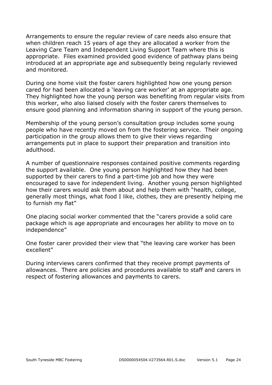Arrangements to ensure the regular review of care needs also ensure that when children reach 15 years of age they are allocated a worker from the Leaving Care Team and Independent Living Support Team where this is appropriate. Files examined provided good evidence of pathway plans being introduced at an appropriate age and subsequently being regularly reviewed and monitored.

During one home visit the foster carers highlighted how one young person cared for had been allocated a 'leaving care worker' at an appropriate age. They highlighted how the young person was benefiting from regular visits from this worker, who also liaised closely with the foster carers themselves to ensure good planning and information sharing in support of the young person.

Membership of the young person's consultation group includes some young people who have recently moved on from the fostering service. Their ongoing participation in the group allows them to give their views regarding arrangements put in place to support their preparation and transition into adulthood.

A number of questionnaire responses contained positive comments regarding the support available. One young person highlighted how they had been supported by their carers to find a part-time job and how they were encouraged to save for independent living. Another young person highlighted how their carers would ask them about and help them with "health, college, generally most things, what food I like, clothes, they are presently helping me to furnish my flat"

One placing social worker commented that the "carers provide a solid care package which is age appropriate and encourages her ability to move on to independence"

One foster carer provided their view that "the leaving care worker has been excellent"

During interviews carers confirmed that they receive prompt payments of allowances. There are policies and procedures available to staff and carers in respect of fostering allowances and payments to carers.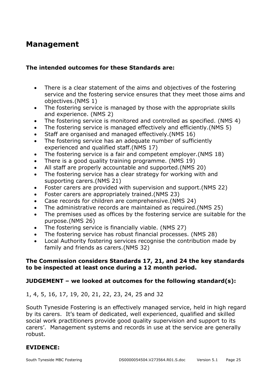## **Management**

#### **The intended outcomes for these Standards are:**

- There is a clear statement of the aims and objectives of the fostering service and the fostering service ensures that they meet those aims and objectives.(NMS 1)
- The fostering service is managed by those with the appropriate skills and experience. (NMS 2)
- The fostering service is monitored and controlled as specified. (NMS 4)
- The fostering service is managed effectively and efficiently.(NMS 5)
- Staff are organised and managed effectively.(NMS 16)
- The fostering service has an adequate number of sufficiently experienced and qualified staff.(NMS 17)
- The fostering service is a fair and competent employer.(NMS 18)
- There is a good quality training programme. (NMS 19)
- All staff are properly accountable and supported.(NMS 20)
- The fostering service has a clear strategy for working with and supporting carers.(NMS 21)
- Foster carers are provided with supervision and support.(NMS 22)
- Foster carers are appropriately trained.(NMS 23)
- Case records for children are comprehensive.(NMS 24)
- The administrative records are maintained as required.(NMS 25)
- The premises used as offices by the fostering service are suitable for the purpose.(NMS 26)
- The fostering service is financially viable. (NMS 27)
- The fostering service has robust financial processes. (NMS 28)
- Local Authority fostering services recognise the contribution made by family and friends as carers.(NMS 32)

#### **The Commission considers Standards 17, 21, and 24 the key standards to be inspected at least once during a 12 month period.**

#### **JUDGEMENT – we looked at outcomes for the following standard(s):**

1, 4, 5, 16, 17, 19, 20, 21, 22, 23, 24, 25 and 32

South Tyneside Fostering is an effectively managed service, held in high regard by its carers. It's team of dedicated, well experienced, qualified and skilled social work practitioners provide good quality supervision and support to its carers'. Management systems and records in use at the service are generally robust.

#### **EVIDENCE:**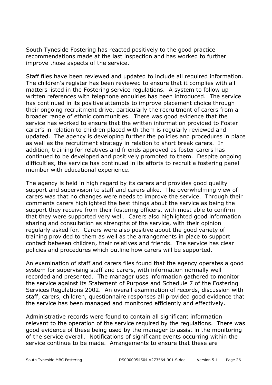South Tyneside Fostering has reacted positively to the good practice recommendations made at the last inspection and has worked to further improve those aspects of the service.

Staff files have been reviewed and updated to include all required information. The children's register has been reviewed to ensure that it complies with all matters listed in the Fostering service regulations. A system to follow up written references with telephone enquiries has been introduced. The service has continued in its positive attempts to improve placement choice through their ongoing recruitment drive, particularly the recruitment of carers from a broader range of ethnic communities. There was good evidence that the service has worked to ensure that the written information provided to Foster carer's in relation to children placed with them is regularly reviewed and updated. The agency is developing further the policies and procedures in place as well as the recruitment strategy in relation to short break carers. In addition, training for relatives and friends approved as foster carers has continued to be developed and positively promoted to them. Despite ongoing difficulties, the service has continued in its efforts to recruit a fostering panel member with educational experience.

The agency is held in high regard by its carers and provides good quality support and supervision to staff and carers alike. The overwhelming view of carers was that no changes were needs to improve the service. Through their comments carers highlighted the best things about the service as being the support they receive from their fostering officers, with most able to confirm that they were supported very well. Carers also highlighted good information sharing and consultation as strengths of the service, with their opinion regularly asked for. Carers were also positive about the good variety of training provided to them as well as the arrangements in place to support contact between children, their relatives and friends. The service has clear policies and procedures which outline how carers will be supported.

An examination of staff and carers files found that the agency operates a good system for supervising staff and carers, with information normally well recorded and presented. The manager uses information gathered to monitor the service against its Statement of Purpose and Schedule 7 of the Fostering Services Regulations 2002. An overall examination of records, discussion with staff, carers, children, questionnaire responses all provided good evidence that the service has been managed and monitored efficiently and effectively.

Administrative records were found to contain all significant information relevant to the operation of the service required by the regulations. There was good evidence of these being used by the manager to assist in the monitoring of the service overall. Notifications of significant events occurring within the service continue to be made. Arrangements to ensure that these are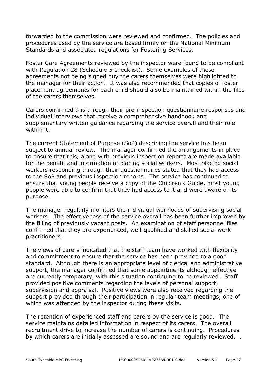forwarded to the commission were reviewed and confirmed. The policies and procedures used by the service are based firmly on the National Minimum Standards and associated regulations for Fostering Services.

Foster Care Agreements reviewed by the inspector were found to be compliant with Regulation 28 (Schedule 5 checklist). Some examples of these agreements not being signed buy the carers themselves were highlighted to the manager for their action. It was also recommended that copies of foster placement agreements for each child should also be maintained within the files of the carers themselves.

Carers confirmed this through their pre-inspection questionnaire responses and individual interviews that receive a comprehensive handbook and supplementary written guidance regarding the service overall and their role within it.

The current Statement of Purpose (SoP) describing the service has been subject to annual review. The manager confirmed the arrangements in place to ensure that this, along with previous inspection reports are made available for the benefit and information of placing social workers. Most placing social workers responding through their questionnaires stated that they had access to the SoP and previous inspection reports. The service has continued to ensure that young people receive a copy of the Children's Guide, most young people were able to confirm that they had access to it and were aware of its purpose.

The manager regularly monitors the individual workloads of supervising social workers. The effectiveness of the service overall has been further improved by the filling of previously vacant posts. An examination of staff personnel files confirmed that they are experienced, well-qualified and skilled social work practitioners.

The views of carers indicated that the staff team have worked with flexibility and commitment to ensure that the service has been provided to a good standard. Although there is an appropriate level of clerical and administrative support, the manager confirmed that some appointments although effective are currently temporary, with this situation continuing to be reviewed. Staff provided positive comments regarding the levels of personal support, supervision and appraisal. Positive views were also received regarding the support provided through their participation in regular team meetings, one of which was attended by the inspector during these visits.

The retention of experienced staff and carers by the service is good. The service maintains detailed information in respect of its carers. The overall recruitment drive to increase the number of carers is continuing. Procedures by which carers are initially assessed are sound and are regularly reviewed. .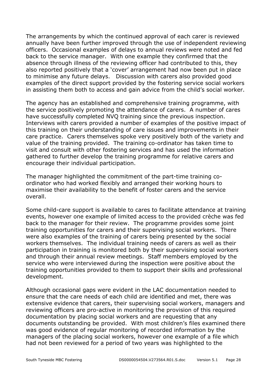The arrangements by which the continued approval of each carer is reviewed annually have been further improved through the use of independent reviewing officers. Occasional examples of delays to annual reviews were noted and fed back to the service manager. With one example they confirmed that the absence through illness of the reviewing officer had contributed to this, they also reported positively that a 'cover' arrangement had now been put in place to minimise any future delays. Discussion with carers also provided good examples of the direct support provided by the fostering service social workers in assisting them both to access and gain advice from the child's social worker.

The agency has an established and comprehensive training programme, with the service positively promoting the attendance of carers. A number of cares have successfully completed NVQ training since the previous inspection. Interviews with carers provided a number of examples of the positive impact of this training on their understanding of care issues and improvements in their care practice. Carers themselves spoke very positively both of the variety and value of the training provided. The training co-ordinator has taken time to visit and consult with other fostering services and has used the information gathered to further develop the training programme for relative carers and encourage their individual participation.

The manager highlighted the commitment of the part-time training coordinator who had worked flexibly and arranged their working hours to maximise their availability to the benefit of foster carers and the service overall.

Some child-care support is available to cares to facilitate attendance at training events, however one example of limited access to the provided crèche was fed back to the manager for their review. The programme provides some joint training opportunities for carers and their supervising social workers. There were also examples of the training of carers being presented by the social workers themselves. The individual training needs of carers as well as their participation in training is monitored both by their supervising social workers and through their annual review meetings. Staff members employed by the service who were interviewed during the inspection were positive about the training opportunities provided to them to support their skills and professional development.

Although occasional gaps were evident in the LAC documentation needed to ensure that the care needs of each child are identified and met, there was extensive evidence that carers, their supervising social workers, managers and reviewing officers are pro-active in monitoring the provision of this required documentation by placing social workers and are requesting that any documents outstanding be provided. With most children's files examined there was good evidence of regular monitoring of recorded information by the managers of the placing social workers, however one example of a file which had not been reviewed for a period of two years was highlighted to the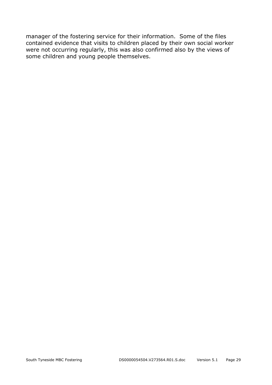manager of the fostering service for their information. Some of the files contained evidence that visits to children placed by their own social worker were not occurring regularly, this was also confirmed also by the views of some children and young people themselves.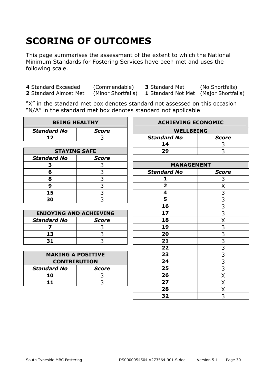# **SCORING OF OUTCOMES**

This page summarises the assessment of the extent to which the National Minimum Standards for Fostering Services have been met and uses the following scale.

**4** Standard Exceeded (Commendable) **3** Standard Met (No Shortfalls) **2** Standard Almost Met (Minor Shortfalls) **1** Standard Not Met (Maior Shortfalls)

**2** Standard Almost Met (Minor Shortfalls) **1** Standard Not Met (Major Shortfalls)

"X" in the standard met box denotes standard not assessed on this occasion "N/A" in the standard met box denotes standard not applicable

| <b>BEING HEALTHY</b>          |                | <b>ACHIEVING ECONOMIC</b> |                |
|-------------------------------|----------------|---------------------------|----------------|
| <b>Standard No</b>            | <b>Score</b>   | <b>WELLBEING</b>          |                |
| 12                            | 3              | <b>Standard No</b>        | <b>Score</b>   |
|                               |                | 14                        | 3              |
| <b>STAYING SAFE</b>           |                | 29                        | 3              |
| <b>Standard No</b>            | <b>Score</b>   |                           |                |
| 3                             | 3              | <b>MANAGEMENT</b>         |                |
| 6                             | 3              | <b>Standard No</b>        | <b>Score</b>   |
| 8                             | $\frac{3}{3}$  | 1                         | 3              |
| 9                             |                | $\overline{\mathbf{2}}$   | Χ              |
| 15                            | $\overline{3}$ | 4                         | $\overline{3}$ |
| 30                            | 3              | 5                         | $\frac{3}{3}$  |
|                               |                | 16                        |                |
| <b>ENJOYING AND ACHIEVING</b> |                | 17                        | $\overline{3}$ |
| <b>Standard No</b>            | <b>Score</b>   | 18                        | X              |
| $\overline{\mathbf{z}}$       | 3              | 19                        | $\overline{3}$ |
| 13                            | 3              | 20                        | $\overline{3}$ |
| 31                            | $\overline{3}$ | 21                        | $\frac{3}{3}$  |
|                               |                | 22                        |                |
| <b>MAKING A POSITIVE</b>      |                | 23                        | $\overline{3}$ |
| <b>CONTRIBUTION</b>           |                | 24                        | $\overline{3}$ |
| <b>Standard No</b>            | <b>Score</b>   | 25                        | $\overline{3}$ |
| 10                            | 3              | 26                        | X              |
| 11                            | 3              | 27                        | Χ              |
|                               |                | 28                        | Χ              |
|                               |                | 32                        | $\overline{3}$ |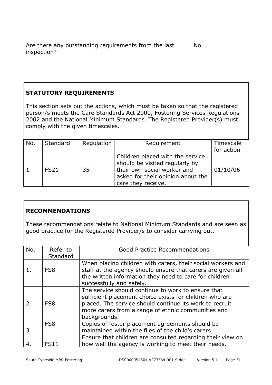#### **STATUTORY REQUIREMENTS**

This section sets out the actions, which must be taken so that the registered person/s meets the Care Standards Act 2000, Fostering Services Regulations 2002 and the National Minimum Standards. The Registered Provider(s) must comply with the given timescales.

| No. | Standard    | Regulation | Requirement                                                                                                                                                  | Timescale  |
|-----|-------------|------------|--------------------------------------------------------------------------------------------------------------------------------------------------------------|------------|
|     |             |            |                                                                                                                                                              | for action |
|     | <b>FS21</b> | 35         | Children placed with the service<br>should be visited regularly by<br>their own social worker and<br>asked for their opinion about the<br>care they receive. | 01/10/06   |

#### **RECOMMENDATIONS**

These recommendations relate to National Minimum Standards and are seen as good practice for the Registered Provider/s to consider carrying out.

| No. | Refer to<br>Standard | <b>Good Practice Recommendations</b>                                                                                                                                                                                                           |
|-----|----------------------|------------------------------------------------------------------------------------------------------------------------------------------------------------------------------------------------------------------------------------------------|
|     | FS <sub>8</sub>      | When placing children with carers, their social workers and<br>staff at the agency should ensure that carers are given all<br>the written information they need to care for children<br>successfully and safely.                               |
| 2.  | FS <sub>8</sub>      | The service should continue to work to ensure that<br>sufficient placement choice exists for children who are<br>placed. The service should continue its work to recruit<br>more carers from a range of ethnic communities and<br>backgrounds. |
| 3.  | FS <sub>8</sub>      | Copies of foster placement agreements should be<br>maintained within the files of the child's carers                                                                                                                                           |
|     | <b>FS11</b>          | Ensure that children are consulted regarding their view on<br>how well the agency is working to meet their needs.                                                                                                                              |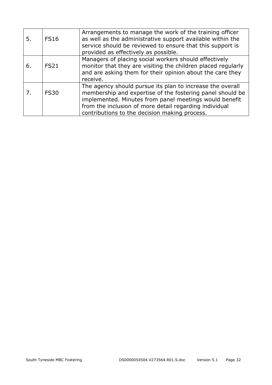| 5. | <b>FS16</b> | Arrangements to manage the work of the training officer<br>as well as the administrative support available within the<br>service should be reviewed to ensure that this support is<br>provided as effectively as possible.                                                                  |
|----|-------------|---------------------------------------------------------------------------------------------------------------------------------------------------------------------------------------------------------------------------------------------------------------------------------------------|
| 6. | <b>FS21</b> | Managers of placing social workers should effectively<br>monitor that they are visiting the children placed regularly<br>and are asking them for their opinion about the care they<br>receive.                                                                                              |
|    | <b>FS30</b> | The agency should pursue its plan to increase the overall<br>membership and expertise of the fostering panel should be<br>implemented. Minutes from panel meetings would benefit<br>from the inclusion of more detail regarding individual<br>contributions to the decision making process. |